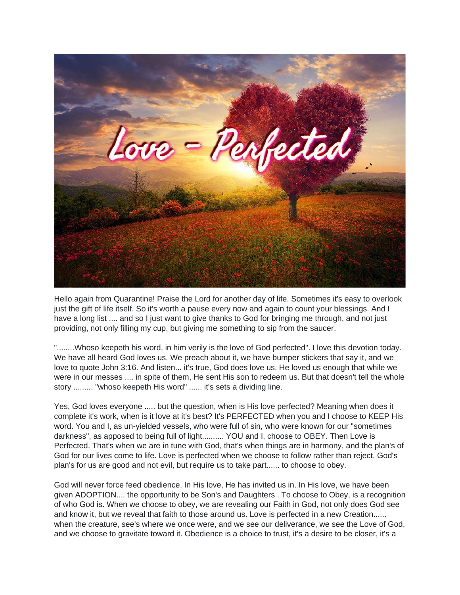

Hello again from Quarantine! Praise the Lord for another day of life. Sometimes it's easy to overlook just the gift of life itself. So it's worth a pause every now and again to count your blessings. And I have a long list .... and so I just want to give thanks to God for bringing me through, and not just providing, not only filling my cup, but giving me something to sip from the saucer.

"........Whoso keepeth his word, in him verily is the love of God perfected". I love this devotion today. We have all heard God loves us. We preach about it, we have bumper stickers that say it, and we love to quote John 3:16. And listen... it's true, God does love us. He loved us enough that while we were in our messes .... in spite of them, He sent His son to redeem us. But that doesn't tell the whole story ......... "whoso keepeth His word" ...... it's sets a dividing line.

Yes, God loves everyone ..... but the question, when is His love perfected? Meaning when does it complete it's work, when is it love at it's best? It's PERFECTED when you and I choose to KEEP His word. You and I, as un-yielded vessels, who were full of sin, who were known for our "sometimes darkness", as apposed to being full of light.......... YOU and I, choose to OBEY. Then Love is Perfected. That's when we are in tune with God, that's when things are in harmony, and the plan's of God for our lives come to life. Love is perfected when we choose to follow rather than reject. God's plan's for us are good and not evil, but require us to take part...... to choose to obey.

God will never force feed obedience. In His love, He has invited us in. In His love, we have been given ADOPTION.... the opportunity to be Son's and Daughters . To choose to Obey, is a recognition of who God is. When we choose to obey, we are revealing our Faith in God, not only does God see and know it, but we reveal that faith to those around us. Love is perfected in a new Creation...... when the creature, see's where we once were, and we see our deliverance, we see the Love of God, and we choose to gravitate toward it. Obedience is a choice to trust, it's a desire to be closer, it's a